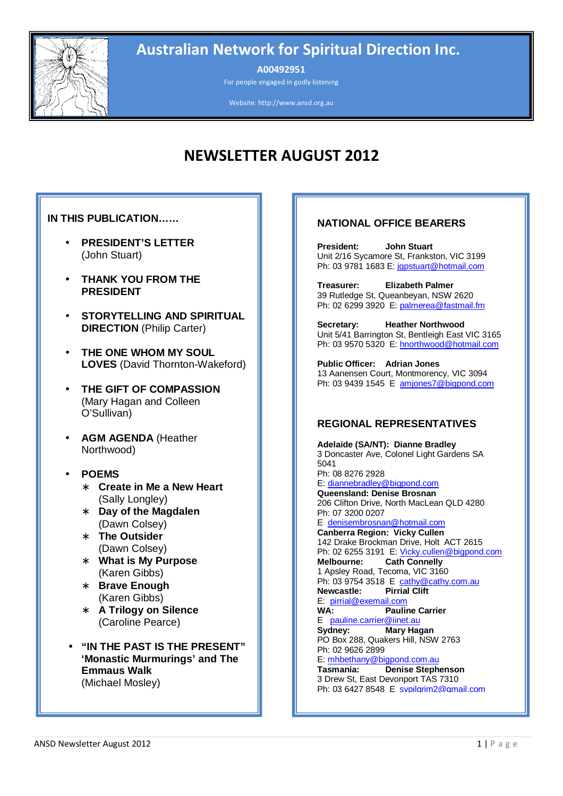

# Australian Network for Spiritual Direction Inc.

A00492951

For people engaged in godly listening

Website: http://www.ansd.org.au

# NEWSLETTER AUGUST 2012

#### **IN THIS PUBLICATION……**

- **PRESIDENT'S LETTER**  (John Stuart)
- **THANK YOU FROM THE PRESIDENT**
- **STORYTELLING AND SPIRITUAL DIRECTION** (Philip Carter)
- **THE ONE WHOM MY SOUL LOVES** (David Thornton-Wakeford)
- **THE GIFT OF COMPASSION**  (Mary Hagan and Colleen O'Sullivan)
- **AGM AGENDA** (Heather Northwood)
- **POEMS** 
	- ∗ **Create in Me a New Heart** (Sally Longley)
	- ∗ **Day of the Magdalen** (Dawn Colsey)
	- ∗ **The Outsider** (Dawn Colsey)
	- ∗ **What is My Purpose** (Karen Gibbs)
	- ∗ **Brave Enough** (Karen Gibbs)
	- ∗ **A Trilogy on Silence** (Caroline Pearce)
	- **"IN THE PAST IS THE PRESENT" 'Monastic Murmurings' and The Emmaus Walk**  (Michael Mosley)

## **NATIONAL OFFICE BEARERS**

**President: John Stuart**  Unit 2/16 Sycamore St, Frankston, VIC 3199 Ph: 03 9781 1683 E: jgpstuart@hotmail.com

**Treasurer: Elizabeth Palmer**  39 Rutledge St, Queanbeyan, NSW 2620 Ph: 02 6299 3920 E: palmerea@fastmail.fm

**Secretary: Heather Northwood**  Unit 5/41 Barrington St, Bentleigh East VIC 3165 Ph: 03 9570 5320 E: hnorthwood@hotmail.com

**Public Officer: Adrian Jones**  13 Aanensen Court, Montmorency, VIC 3094 Ph: 03 9439 1545 E amjones7@bigpond.com

#### **REGIONAL REPRESENTATIVES**

**Adelaide (SA/NT): Dianne Bradley**  3 Doncaster Ave, Colonel Light Gardens SA 5041 Ph: 08 8276 2928 E: diannebradley@bigpond.com **Queensland: Denise Brosnan**  206 Clifton Drive, North MacLean QLD 4280 Ph: 07 3200 0207 E: denisembrosnan@hotmail.com **Canberra Region: Vicky Cullen**  142 Drake Brockman Drive, Holt ACT 2615 Ph: 02 6255 3191 E: Vicky.cullen@bigpond.com<br>Melbourne: Cath Connelly **Cath Connelly** 1 Apsley Road, Tecoma, VIC 3160 Ph: 03 9754 3518 E cathy@cathy.com.au **Newcastle: Pirrial Clift**  E: pirrial@exemail.com **WA: Pauline Carrier**  E: pauline.carrier@iinet.au **Sydney: Mary Hagan**  PO Box 288, Quakers Hill, NSW 2763 Ph: 02 9626 2899 E: mhbethany@bigpond.com.au<br>Tasmania: Denise Stephe **Denise Stephenson** 3 Drew St, East Devonport TAS 7310 Ph: 03 6427 8548 E: svpilgrim2@gmail.com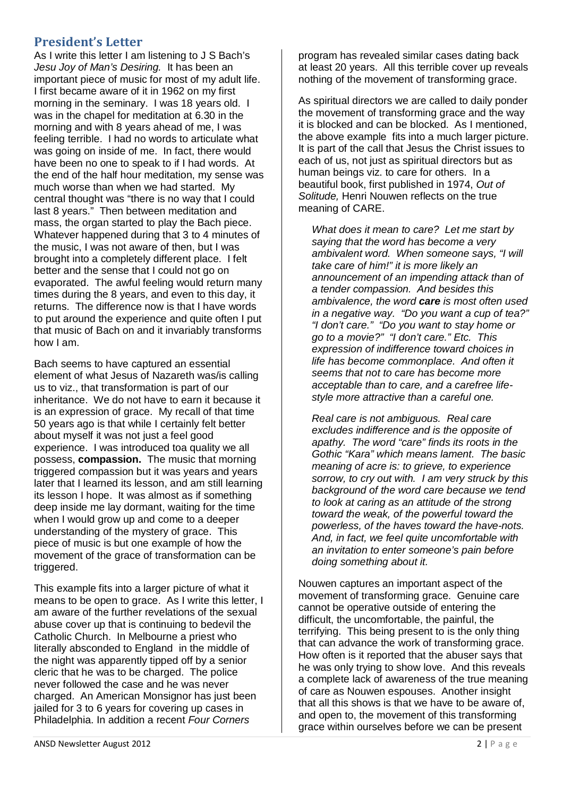# President's Letter

As I write this letter I am listening to J S Bach's Jesu Joy of Man's Desiring. It has been an important piece of music for most of my adult life. I first became aware of it in 1962 on my first morning in the seminary. I was 18 years old. I was in the chapel for meditation at 6.30 in the morning and with 8 years ahead of me, I was feeling terrible. I had no words to articulate what was going on inside of me. In fact, there would have been no one to speak to if I had words. At the end of the half hour meditation, my sense was much worse than when we had started. My central thought was "there is no way that I could last 8 years." Then between meditation and mass, the organ started to play the Bach piece. Whatever happened during that 3 to 4 minutes of the music, I was not aware of then, but I was brought into a completely different place. I felt better and the sense that I could not go on evaporated. The awful feeling would return many times during the 8 years, and even to this day, it returns. The difference now is that I have words to put around the experience and quite often I put that music of Bach on and it invariably transforms how I am.

Bach seems to have captured an essential element of what Jesus of Nazareth was/is calling us to viz., that transformation is part of our inheritance. We do not have to earn it because it is an expression of grace. My recall of that time 50 years ago is that while I certainly felt better about myself it was not just a feel good experience. I was introduced toa quality we all possess, **compassion.** The music that morning triggered compassion but it was years and years later that I learned its lesson, and am still learning its lesson I hope. It was almost as if something deep inside me lay dormant, waiting for the time when I would grow up and come to a deeper understanding of the mystery of grace. This piece of music is but one example of how the movement of the grace of transformation can be triggered.

This example fits into a larger picture of what it means to be open to grace. As I write this letter, I am aware of the further revelations of the sexual abuse cover up that is continuing to bedevil the Catholic Church. In Melbourne a priest who literally absconded to England in the middle of the night was apparently tipped off by a senior cleric that he was to be charged. The police never followed the case and he was never charged. An American Monsignor has just been jailed for 3 to 6 years for covering up cases in Philadelphia. In addition a recent Four Corners

program has revealed similar cases dating back at least 20 years. All this terrible cover up reveals nothing of the movement of transforming grace.

As spiritual directors we are called to daily ponder the movement of transforming grace and the way it is blocked and can be blocked. As I mentioned, the above example fits into a much larger picture. It is part of the call that Jesus the Christ issues to each of us, not just as spiritual directors but as human beings viz. to care for others. In a beautiful book, first published in 1974, Out of Solitude, Henri Nouwen reflects on the true meaning of CARE.

What does it mean to care? Let me start by saying that the word has become a very ambivalent word. When someone says, "I will take care of him!" it is more likely an announcement of an impending attack than of a tender compassion. And besides this ambivalence, the word **care** is most often used in a negative way. "Do you want a cup of tea?" "I don't care." "Do you want to stay home or go to a movie?" "I don't care." Etc. This expression of indifference toward choices in life has become commonplace. And often it seems that not to care has become more acceptable than to care, and a carefree lifestyle more attractive than a careful one.

Real care is not ambiguous. Real care excludes indifference and is the opposite of apathy. The word "care" finds its roots in the Gothic "Kara" which means lament. The basic meaning of acre is: to grieve, to experience sorrow, to cry out with. I am very struck by this background of the word care because we tend to look at caring as an attitude of the strong toward the weak, of the powerful toward the powerless, of the haves toward the have-nots. And, in fact, we feel quite uncomfortable with an invitation to enter someone's pain before doing something about it.

Nouwen captures an important aspect of the movement of transforming grace. Genuine care cannot be operative outside of entering the difficult, the uncomfortable, the painful, the terrifying. This being present to is the only thing that can advance the work of transforming grace. How often is it reported that the abuser says that he was only trying to show love. And this reveals a complete lack of awareness of the true meaning of care as Nouwen espouses. Another insight that all this shows is that we have to be aware of, and open to, the movement of this transforming grace within ourselves before we can be present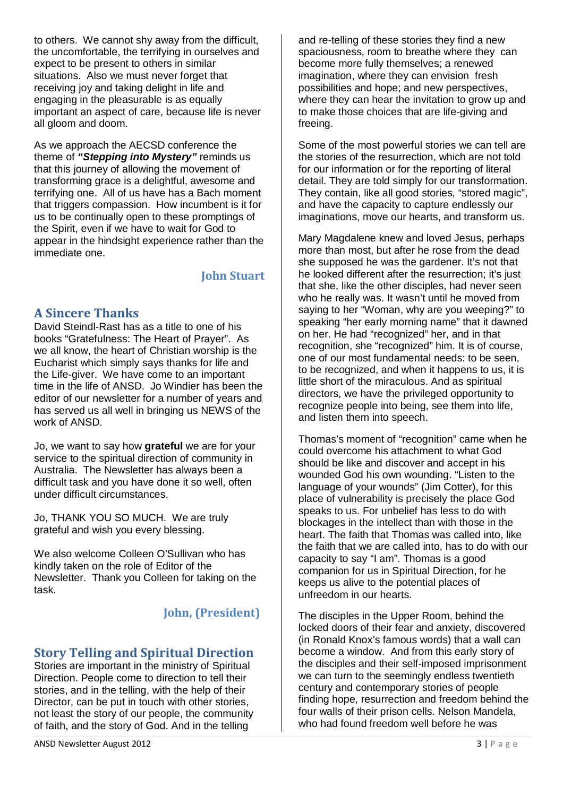to others. We cannot shy away from the difficult, the uncomfortable, the terrifying in ourselves and expect to be present to others in similar situations. Also we must never forget that receiving joy and taking delight in life and engaging in the pleasurable is as equally important an aspect of care, because life is never all gloom and doom.

As we approach the AECSD conference the theme of **"Stepping into Mystery"** reminds us that this journey of allowing the movement of transforming grace is a delightful, awesome and terrifying one. All of us have has a Bach moment that triggers compassion. How incumbent is it for us to be continually open to these promptings of the Spirit, even if we have to wait for God to appear in the hindsight experience rather than the immediate one.

# John Stuart

# A Sincere Thanks

David Steindl-Rast has as a title to one of his books "Gratefulness: The Heart of Prayer". As we all know, the heart of Christian worship is the Eucharist which simply says thanks for life and the Life-giver. We have come to an important time in the life of ANSD. Jo Windier has been the editor of our newsletter for a number of years and has served us all well in bringing us NEWS of the work of ANSD.

Jo, we want to say how **grateful** we are for your service to the spiritual direction of community in Australia. The Newsletter has always been a difficult task and you have done it so well, often under difficult circumstances.

Jo, THANK YOU SO MUCH. We are truly grateful and wish you every blessing.

We also welcome Colleen O'Sullivan who has kindly taken on the role of Editor of the Newsletter. Thank you Colleen for taking on the task.

# John, (President)

# Story Telling and Spiritual Direction

Stories are important in the ministry of Spiritual Direction. People come to direction to tell their stories, and in the telling, with the help of their Director, can be put in touch with other stories, not least the story of our people, the community of faith, and the story of God. And in the telling

on her. He had "recognized" her, and in that recognition, she "recognized" him. It is of course, one of our most fundamental needs: to be seen,

freeing.

to be recognized, and when it happens to us, it is little short of the miraculous. And as spiritual directors, we have the privileged opportunity to recognize people into being, see them into life, and listen them into speech.

and re-telling of these stories they find a new spaciousness, room to breathe where they can become more fully themselves; a renewed imagination, where they can envision fresh possibilities and hope; and new perspectives, where they can hear the invitation to grow up and to make those choices that are life-giving and

Some of the most powerful stories we can tell are the stories of the resurrection, which are not told for our information or for the reporting of literal detail. They are told simply for our transformation. They contain, like all good stories, "stored magic", and have the capacity to capture endlessly our imaginations, move our hearts, and transform us.

Mary Magdalene knew and loved Jesus, perhaps more than most, but after he rose from the dead she supposed he was the gardener. It's not that he looked different after the resurrection; it's just that she, like the other disciples, had never seen who he really was. It wasn't until he moved from saying to her "Woman, why are you weeping?" to speaking "her early morning name" that it dawned

Thomas's moment of "recognition" came when he could overcome his attachment to what God should be like and discover and accept in his wounded God his own wounding. "Listen to the language of your wounds" (Jim Cotter), for this place of vulnerability is precisely the place God speaks to us. For unbelief has less to do with blockages in the intellect than with those in the heart. The faith that Thomas was called into, like the faith that we are called into, has to do with our capacity to say "I am". Thomas is a good companion for us in Spiritual Direction, for he keeps us alive to the potential places of unfreedom in our hearts.

The disciples in the Upper Room, behind the locked doors of their fear and anxiety, discovered (in Ronald Knox's famous words) that a wall can become a window. And from this early story of the disciples and their self-imposed imprisonment we can turn to the seemingly endless twentieth century and contemporary stories of people finding hope, resurrection and freedom behind the four walls of their prison cells. Nelson Mandela, who had found freedom well before he was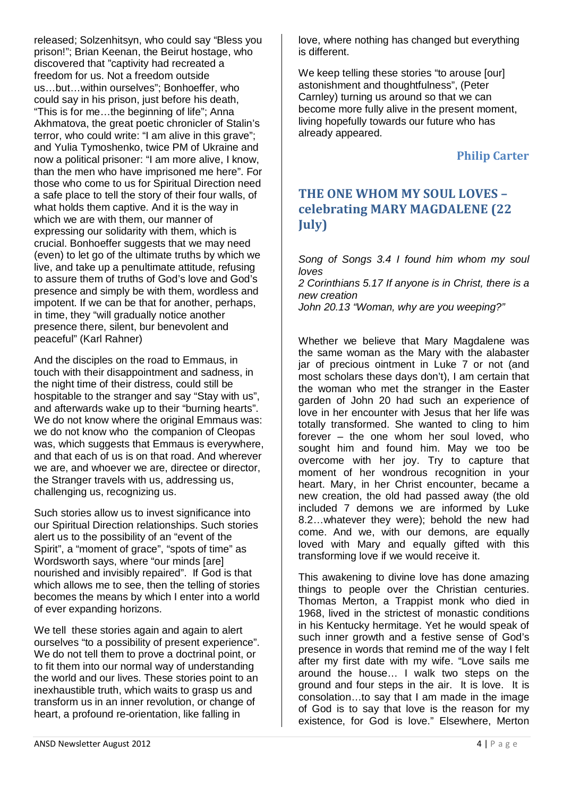released; Solzenhitsyn, who could say "Bless you prison!"; Brian Keenan, the Beirut hostage, who discovered that "captivity had recreated a freedom for us. Not a freedom outside us…but…within ourselves"; Bonhoeffer, who could say in his prison, just before his death, "This is for me…the beginning of life"; Anna Akhmatova, the great poetic chronicler of Stalin's terror, who could write: "I am alive in this grave"; and Yulia Tymoshenko, twice PM of Ukraine and now a political prisoner: "I am more alive, I know, than the men who have imprisoned me here". For those who come to us for Spiritual Direction need a safe place to tell the story of their four walls, of what holds them captive. And it is the way in which we are with them, our manner of expressing our solidarity with them, which is crucial. Bonhoeffer suggests that we may need (even) to let go of the ultimate truths by which we live, and take up a penultimate attitude, refusing to assure them of truths of God's love and God's presence and simply be with them, wordless and impotent. If we can be that for another, perhaps, in time, they "will gradually notice another presence there, silent, bur benevolent and peaceful" (Karl Rahner)

And the disciples on the road to Emmaus, in touch with their disappointment and sadness, in the night time of their distress, could still be hospitable to the stranger and say "Stay with us", and afterwards wake up to their "burning hearts". We do not know where the original Emmaus was: we do not know who the companion of Cleopas was, which suggests that Emmaus is everywhere, and that each of us is on that road. And wherever we are, and whoever we are, directee or director, the Stranger travels with us, addressing us, challenging us, recognizing us.

Such stories allow us to invest significance into our Spiritual Direction relationships. Such stories alert us to the possibility of an "event of the Spirit", a "moment of grace", "spots of time" as Wordsworth says, where "our minds [are] nourished and invisibly repaired". If God is that which allows me to see, then the telling of stories becomes the means by which I enter into a world of ever expanding horizons.

We tell these stories again and again to alert ourselves "to a possibility of present experience". We do not tell them to prove a doctrinal point, or to fit them into our normal way of understanding the world and our lives. These stories point to an inexhaustible truth, which waits to grasp us and transform us in an inner revolution, or change of heart, a profound re-orientation, like falling in

love, where nothing has changed but everything is different.

We keep telling these stories "to arouse [our] astonishment and thoughtfulness", (Peter Carnley) turning us around so that we can become more fully alive in the present moment, living hopefully towards our future who has already appeared.

# Philip Carter

# THE ONE WHOM MY SOUL LOVES – celebrating MARY MAGDALENE (22 July)

Song of Songs 3.4 I found him whom my soul loves 2 Corinthians 5.17 If anyone is in Christ, there is a new creation John 20.13 "Woman, why are you weeping?"

Whether we believe that Mary Magdalene was the same woman as the Mary with the alabaster jar of precious ointment in Luke 7 or not (and most scholars these days don't), I am certain that the woman who met the stranger in the Easter garden of John 20 had such an experience of love in her encounter with Jesus that her life was totally transformed. She wanted to cling to him forever – the one whom her soul loved, who sought him and found him. May we too be overcome with her joy. Try to capture that moment of her wondrous recognition in your heart. Mary, in her Christ encounter, became a new creation, the old had passed away (the old included 7 demons we are informed by Luke 8.2…whatever they were); behold the new had come. And we, with our demons, are equally loved with Mary and equally gifted with this transforming love if we would receive it.

This awakening to divine love has done amazing things to people over the Christian centuries. Thomas Merton, a Trappist monk who died in 1968, lived in the strictest of monastic conditions in his Kentucky hermitage. Yet he would speak of such inner growth and a festive sense of God's presence in words that remind me of the way I felt after my first date with my wife. "Love sails me around the house… I walk two steps on the ground and four steps in the air. It is love. It is consolation…to say that I am made in the image of God is to say that love is the reason for my existence, for God is love." Elsewhere, Merton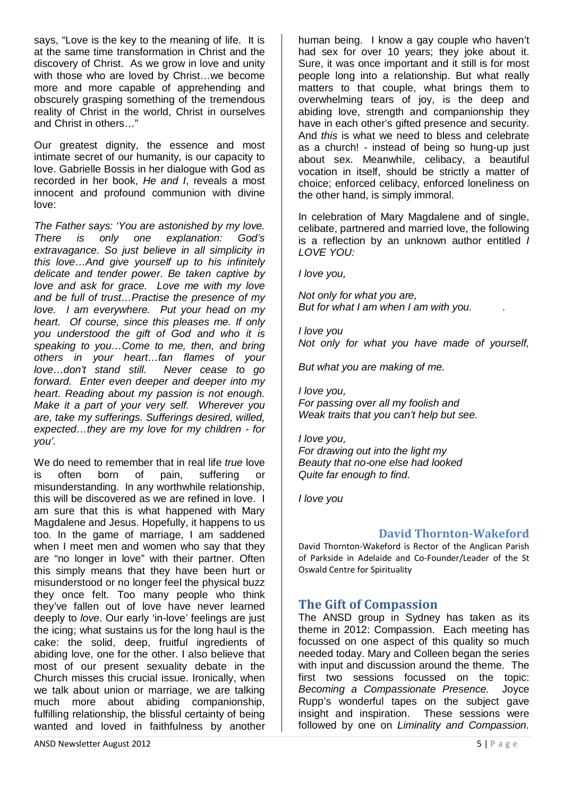says, "Love is the key to the meaning of life. It is at the same time transformation in Christ and the discovery of Christ. As we grow in love and unity with those who are loved by Christ…we become more and more capable of apprehending and obscurely grasping something of the tremendous reality of Christ in the world, Christ in ourselves and Christ in others…"

Our greatest dignity, the essence and most intimate secret of our humanity, is our capacity to love. Gabrielle Bossis in her dialogue with God as recorded in her book, He and I, reveals a most innocent and profound communion with divine love:

The Father says: 'You are astonished by my love. There is only one explanation: God's extravagance. So just believe in all simplicity in this love…And give yourself up to his infinitely delicate and tender power. Be taken captive by love and ask for grace. Love me with my love and be full of trust…Practise the presence of my love. I am everywhere. Put your head on my heart. Of course, since this pleases me. If only you understood the gift of God and who it is speaking to you...Come to me, then, and bring others in your heart…fan flames of your love…don't stand still. Never cease to go forward. Enter even deeper and deeper into my heart. Reading about my passion is not enough. Make it a part of your very self. Wherever you are, take my sufferings. Sufferings desired, willed, expected…they are my love for my children - for you'.

We do need to remember that in real life *true* love is often born of pain, suffering or misunderstanding. In any worthwhile relationship, this will be discovered as we are refined in love. I am sure that this is what happened with Mary Magdalene and Jesus. Hopefully, it happens to us too. In the game of marriage, I am saddened when I meet men and women who say that they are "no longer in love" with their partner. Often this simply means that they have been hurt or misunderstood or no longer feel the physical buzz they once felt. Too many people who think they've fallen out of love have never learned deeply to love. Our early 'in-love' feelings are just the icing; what sustains us for the long haul is the cake: the solid, deep, fruitful ingredients of abiding love, one for the other. I also believe that most of our present sexuality debate in the Church misses this crucial issue. Ironically, when we talk about union or marriage, we are talking much more about abiding companionship, fulfilling relationship, the blissful certainty of being wanted and loved in faithfulness by another

human being. I know a gay couple who haven't had sex for over 10 years; they joke about it. Sure, it was once important and it still is for most people long into a relationship. But what really matters to that couple, what brings them to overwhelming tears of joy, is the deep and abiding love, strength and companionship they have in each other's gifted presence and security. And this is what we need to bless and celebrate as a church! - instead of being so hung-up just about sex. Meanwhile, celibacy, a beautiful vocation in itself, should be strictly a matter of choice; enforced celibacy, enforced loneliness on the other hand, is simply immoral.

In celebration of Mary Magdalene and of single, celibate, partnered and married love, the following is a reflection by an unknown author entitled  $\overline{I}$ LOVE YOU:

I love you,

Not only for what you are, But for what I am when I am with you.

I love you Not only for what you have made of yourself,

But what you are making of me.

I love you, For passing over all my foolish and Weak traits that you can't help but see.

# I love you,

For drawing out into the light my Beauty that no-one else had looked Quite far enough to find.

I love you

### David Thornton-Wakeford

David Thornton-Wakeford is Rector of the Anglican Parish of Parkside in Adelaide and Co-Founder/Leader of the St Oswald Centre for Spirituality

## The Gift of Compassion

The ANSD group in Sydney has taken as its theme in 2012: Compassion. Each meeting has focussed on one aspect of this quality so much needed today. Mary and Colleen began the series with input and discussion around the theme. The first two sessions focussed on the topic: Becoming a Compassionate Presence. Joyce Rupp's wonderful tapes on the subject gave insight and inspiration. These sessions were followed by one on Liminality and Compassion.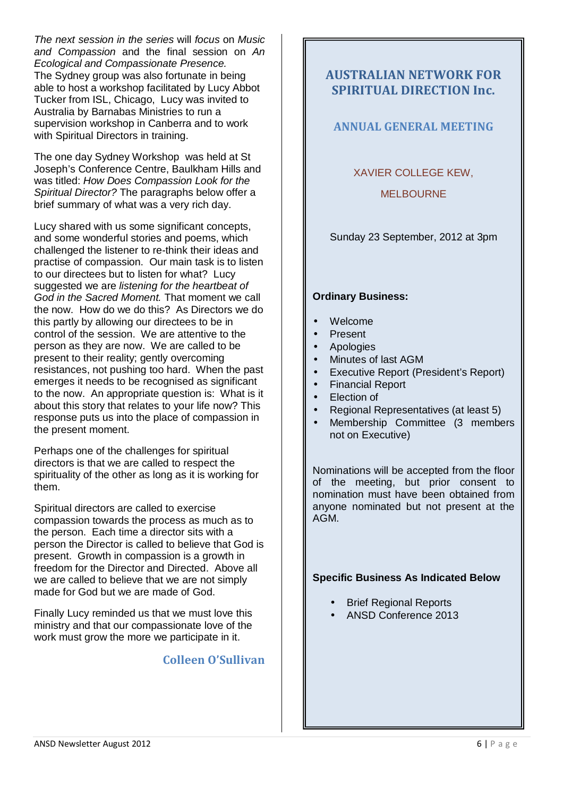The next session in the series will focus on Music and Compassion and the final session on An Ecological and Compassionate Presence. The Sydney group was also fortunate in being able to host a workshop facilitated by Lucy Abbot Tucker from ISL, Chicago, Lucy was invited to Australia by Barnabas Ministries to run a supervision workshop in Canberra and to work with Spiritual Directors in training.

The one day Sydney Workshop was held at St Joseph's Conference Centre, Baulkham Hills and was titled: How Does Compassion Look for the Spiritual Director? The paragraphs below offer a brief summary of what was a very rich day.

Lucy shared with us some significant concepts, and some wonderful stories and poems, which challenged the listener to re-think their ideas and practise of compassion. Our main task is to listen to our directees but to listen for what? Lucy suggested we are listening for the heartbeat of God in the Sacred Moment. That moment we call the now. How do we do this? As Directors we do this partly by allowing our directees to be in control of the session. We are attentive to the person as they are now. We are called to be present to their reality; gently overcoming resistances, not pushing too hard. When the past emerges it needs to be recognised as significant to the now. An appropriate question is: What is it about this story that relates to your life now? This response puts us into the place of compassion in the present moment.

Perhaps one of the challenges for spiritual directors is that we are called to respect the spirituality of the other as long as it is working for them.

Spiritual directors are called to exercise compassion towards the process as much as to the person. Each time a director sits with a person the Director is called to believe that God is present. Growth in compassion is a growth in freedom for the Director and Directed. Above all we are called to believe that we are not simply made for God but we are made of God.

Finally Lucy reminded us that we must love this ministry and that our compassionate love of the work must grow the more we participate in it.

# Colleen O'Sullivan

# AUSTRALIAN NETWORK FOR SPIRITUAL DIRECTION Inc.

## ANNUAL GENERAL MEETING

### XAVIER COLLEGE KEW,

### **MELBOURNE**

Sunday 23 September, 2012 at 3pm

#### **Ordinary Business:**

- Welcome
- Present
- Apologies
- Minutes of last AGM
- Executive Report (President's Report)
- Financial Report
- **Election of**
- Regional Representatives (at least 5)
- Membership Committee (3 members not on Executive)

Nominations will be accepted from the floor of the meeting, but prior consent to nomination must have been obtained from anyone nominated but not present at the AGM.

### **Specific Business As Indicated Below**

- **Brief Regional Reports**
- ANSD Conference 2013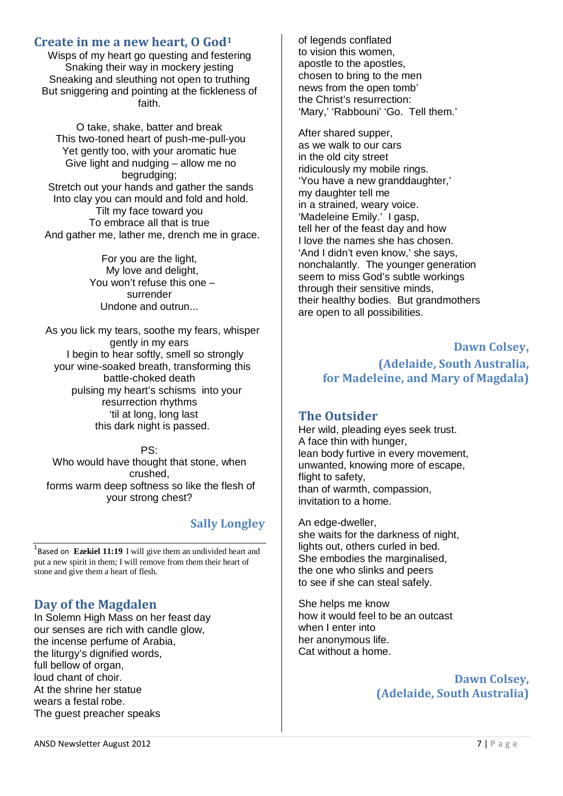## Create in me a new heart, O God<sup>1</sup>

Wisps of my heart go questing and festering Snaking their way in mockery jesting Sneaking and sleuthing not open to truthing But sniggering and pointing at the fickleness of faith.

O take, shake, batter and break This two-toned heart of push-me-pull-you Yet gently too, with your aromatic hue Give light and nudging – allow me no begrudging; Stretch out your hands and gather the sands Into clay you can mould and fold and hold. Tilt my face toward you To embrace all that is true And gather me, lather me, drench me in grace.

> For you are the light, My love and delight, You won't refuse this one – surrender Undone and outrun...

As you lick my tears, soothe my fears, whisper gently in my ears I begin to hear softly, smell so strongly your wine-soaked breath, transforming this battle-choked death pulsing my heart's schisms into your resurrection rhythms 'til at long, long last this dark night is passed.

PS: Who would have thought that stone, when crushed, forms warm deep softness so like the flesh of your strong chest?

## Sally Longley

<sup>1</sup>Based on **Ezekiel 11:19** I will give them an undivided heart and put a new spirit in them; I will remove from them their heart of stone and give them a heart of flesh.

## Day of the Magdalen

In Solemn High Mass on her feast day our senses are rich with candle glow, the incense perfume of Arabia, the liturgy's dignified words, full bellow of organ, loud chant of choir. At the shrine her statue wears a festal robe. The guest preacher speaks

of legends conflated to vision this women, apostle to the apostles, chosen to bring to the men news from the open tomb' the Christ's resurrection: 'Mary,' 'Rabbouni' 'Go. Tell them.'

After shared supper, as we walk to our cars in the old city street ridiculously my mobile rings. 'You have a new granddaughter,' my daughter tell me in a strained, weary voice. 'Madeleine Emily.' I gasp, tell her of the feast day and how I love the names she has chosen. 'And I didn't even know,' she says, nonchalantly. The younger generation seem to miss God's subtle workings through their sensitive minds, their healthy bodies. But grandmothers are open to all possibilities.

# Dawn Colsey**,**  (Adelaide, South Australia, for Madeleine, and Mary of Magdala)

## The Outsider

Her wild, pleading eyes seek trust. A face thin with hunger, lean body furtive in every movement, unwanted, knowing more of escape, flight to safety. than of warmth, compassion, invitation to a home.

An edge-dweller, she waits for the darkness of night, lights out, others curled in bed. She embodies the marginalised, the one who slinks and peers to see if she can steal safely.

She helps me know how it would feel to be an outcast when I enter into her anonymous life. Cat without a home.

> Dawn Colsey, (Adelaide, South Australia)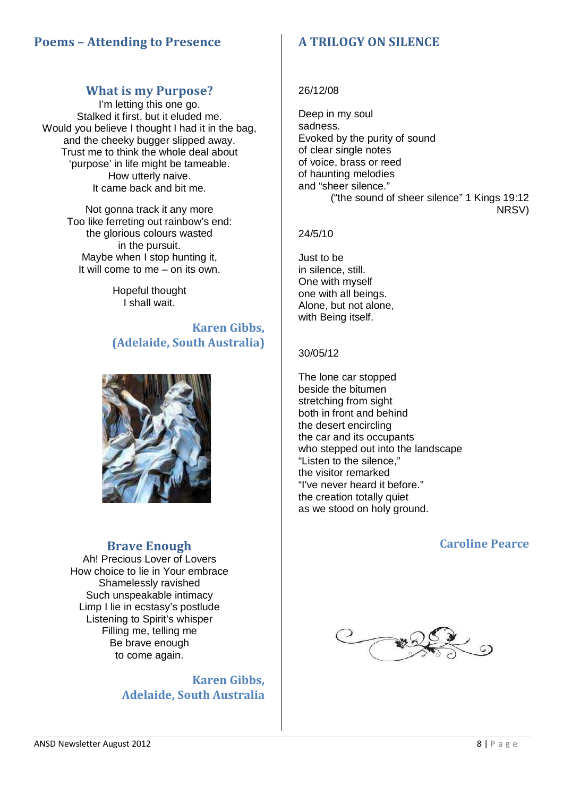# Poems – Attending to Presence

## What is my Purpose?

I'm letting this one go. Stalked it first, but it eluded me. Would you believe I thought I had it in the bag, and the cheeky bugger slipped away. Trust me to think the whole deal about 'purpose' in life might be tameable. How utterly naive. It came back and bit me.

> Not gonna track it any more Too like ferreting out rainbow's end: the glorious colours wasted in the pursuit. Maybe when I stop hunting it, It will come to me – on its own.

> > Hopeful thought I shall wait.

Karen Gibbs, (Adelaide, South Australia)



## Brave Enough

Ah! Precious Lover of Lovers How choice to lie in Your embrace Shamelessly ravished Such unspeakable intimacy Limp I lie in ecstasy's postlude Listening to Spirit's whisper Filling me, telling me Be brave enough to come again.

> Karen Gibbs, Adelaide, South Australia

# A TRILOGY ON SILENCE

#### 26/12/08

Deep in my soul sadness. Evoked by the purity of sound of clear single notes of voice, brass or reed of haunting melodies and "sheer silence." ("the sound of sheer silence" 1 Kings 19:12 NRSV)

### 24/5/10

Just to be in silence, still. One with myself one with all beings. Alone, but not alone, with Being itself.

### 30/05/12

The lone car stopped beside the bitumen stretching from sight both in front and behind the desert encircling the car and its occupants who stepped out into the landscape "Listen to the silence," the visitor remarked "I've never heard it before." the creation totally quiet as we stood on holy ground.

# Caroline Pearce

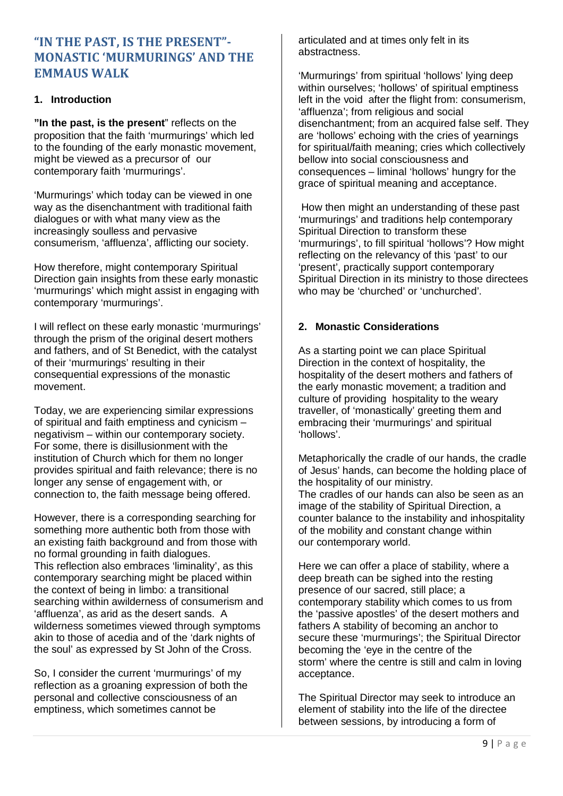# "IN THE PAST, IS THE PRESENT"- MONASTIC 'MURMURINGS' AND THE EMMAUS WALK

#### **1. Introduction**

**"In the past, is the present**" reflects on the proposition that the faith 'murmurings' which led to the founding of the early monastic movement, might be viewed as a precursor of our contemporary faith 'murmurings'.

'Murmurings' which today can be viewed in one way as the disenchantment with traditional faith dialogues or with what many view as the increasingly soulless and pervasive consumerism, 'affluenza', afflicting our society.

How therefore, might contemporary Spiritual Direction gain insights from these early monastic 'murmurings' which might assist in engaging with contemporary 'murmurings'.

I will reflect on these early monastic 'murmurings' through the prism of the original desert mothers and fathers, and of St Benedict, with the catalyst of their 'murmurings' resulting in their consequential expressions of the monastic movement.

Today, we are experiencing similar expressions of spiritual and faith emptiness and cynicism – negativism – within our contemporary society. For some, there is disillusionment with the institution of Church which for them no longer provides spiritual and faith relevance; there is no longer any sense of engagement with, or connection to, the faith message being offered.

However, there is a corresponding searching for something more authentic both from those with an existing faith background and from those with no formal grounding in faith dialogues. This reflection also embraces 'liminality', as this contemporary searching might be placed within the context of being in limbo: a transitional searching within awilderness of consumerism and 'affluenza', as arid as the desert sands. A wilderness sometimes viewed through symptoms akin to those of acedia and of the 'dark nights of the soul' as expressed by St John of the Cross.

So, I consider the current 'murmurings' of my reflection as a groaning expression of both the personal and collective consciousness of an emptiness, which sometimes cannot be

articulated and at times only felt in its abstractness.

'Murmurings' from spiritual 'hollows' lying deep within ourselves; 'hollows' of spiritual emptiness left in the void after the flight from: consumerism, 'affluenza'; from religious and social disenchantment; from an acquired false self. They are 'hollows' echoing with the cries of yearnings for spiritual/faith meaning; cries which collectively bellow into social consciousness and consequences – liminal 'hollows' hungry for the grace of spiritual meaning and acceptance.

 How then might an understanding of these past 'murmurings' and traditions help contemporary Spiritual Direction to transform these 'murmurings', to fill spiritual 'hollows'? How might reflecting on the relevancy of this 'past' to our 'present', practically support contemporary Spiritual Direction in its ministry to those directees who may be 'churched' or 'unchurched'.

### **2. Monastic Considerations**

As a starting point we can place Spiritual Direction in the context of hospitality, the hospitality of the desert mothers and fathers of the early monastic movement; a tradition and culture of providing hospitality to the weary traveller, of 'monastically' greeting them and embracing their 'murmurings' and spiritual 'hollows'.

Metaphorically the cradle of our hands, the cradle of Jesus' hands, can become the holding place of the hospitality of our ministry. The cradles of our hands can also be seen as an image of the stability of Spiritual Direction, a counter balance to the instability and inhospitality of the mobility and constant change within our contemporary world.

Here we can offer a place of stability, where a deep breath can be sighed into the resting presence of our sacred, still place; a contemporary stability which comes to us from the 'passive apostles' of the desert mothers and fathers A stability of becoming an anchor to secure these 'murmurings'; the Spiritual Director becoming the 'eye in the centre of the storm' where the centre is still and calm in loving acceptance.

The Spiritual Director may seek to introduce an element of stability into the life of the directee between sessions, by introducing a form of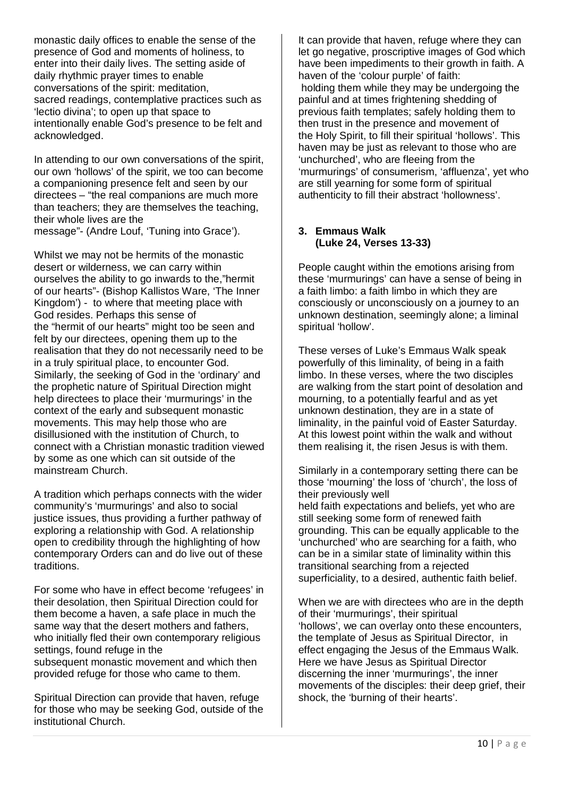monastic daily offices to enable the sense of the presence of God and moments of holiness, to enter into their daily lives. The setting aside of daily rhythmic prayer times to enable conversations of the spirit: meditation, sacred readings, contemplative practices such as 'lectio divina'; to open up that space to intentionally enable God's presence to be felt and acknowledged.

In attending to our own conversations of the spirit, our own 'hollows' of the spirit, we too can become a companioning presence felt and seen by our directees – "the real companions are much more than teachers; they are themselves the teaching, their whole lives are the message"- (Andre Louf, 'Tuning into Grace').

Whilst we may not be hermits of the monastic desert or wilderness, we can carry within ourselves the ability to go inwards to the,"hermit of our hearts"- (Bishop Kallistos Ware, 'The Inner Kingdom') - to where that meeting place with God resides. Perhaps this sense of the "hermit of our hearts" might too be seen and felt by our directees, opening them up to the realisation that they do not necessarily need to be in a truly spiritual place, to encounter God. Similarly, the seeking of God in the 'ordinary' and the prophetic nature of Spiritual Direction might help directees to place their 'murmurings' in the context of the early and subsequent monastic movements. This may help those who are disillusioned with the institution of Church, to connect with a Christian monastic tradition viewed by some as one which can sit outside of the mainstream Church.

A tradition which perhaps connects with the wider community's 'murmurings' and also to social justice issues, thus providing a further pathway of exploring a relationship with God. A relationship open to credibility through the highlighting of how contemporary Orders can and do live out of these traditions.

For some who have in effect become 'refugees' in their desolation, then Spiritual Direction could for them become a haven, a safe place in much the same way that the desert mothers and fathers, who initially fled their own contemporary religious settings, found refuge in the subsequent monastic movement and which then provided refuge for those who came to them.

Spiritual Direction can provide that haven, refuge for those who may be seeking God, outside of the institutional Church.

It can provide that haven, refuge where they can let go negative, proscriptive images of God which have been impediments to their growth in faith. A haven of the 'colour purple' of faith: holding them while they may be undergoing the painful and at times frightening shedding of previous faith templates; safely holding them to then trust in the presence and movement of the Holy Spirit, to fill their spiritual 'hollows'. This haven may be just as relevant to those who are 'unchurched', who are fleeing from the 'murmurings' of consumerism, 'affluenza', yet who are still yearning for some form of spiritual authenticity to fill their abstract 'hollowness'.

#### **3. Emmaus Walk (Luke 24, Verses 13-33)**

People caught within the emotions arising from these 'murmurings' can have a sense of being in a faith limbo: a faith limbo in which they are consciously or unconsciously on a journey to an unknown destination, seemingly alone; a liminal spiritual 'hollow'.

These verses of Luke's Emmaus Walk speak powerfully of this liminality, of being in a faith limbo. In these verses, where the two disciples are walking from the start point of desolation and mourning, to a potentially fearful and as yet unknown destination, they are in a state of liminality, in the painful void of Easter Saturday. At this lowest point within the walk and without them realising it, the risen Jesus is with them.

Similarly in a contemporary setting there can be those 'mourning' the loss of 'church', the loss of their previously well held faith expectations and beliefs, yet who are still seeking some form of renewed faith grounding. This can be equally applicable to the 'unchurched' who are searching for a faith, who can be in a similar state of liminality within this transitional searching from a rejected superficiality, to a desired, authentic faith belief.

When we are with directees who are in the depth of their 'murmurings', their spiritual 'hollows', we can overlay onto these encounters, the template of Jesus as Spiritual Director, in effect engaging the Jesus of the Emmaus Walk. Here we have Jesus as Spiritual Director discerning the inner 'murmurings', the inner movements of the disciples: their deep grief, their shock, the 'burning of their hearts'.